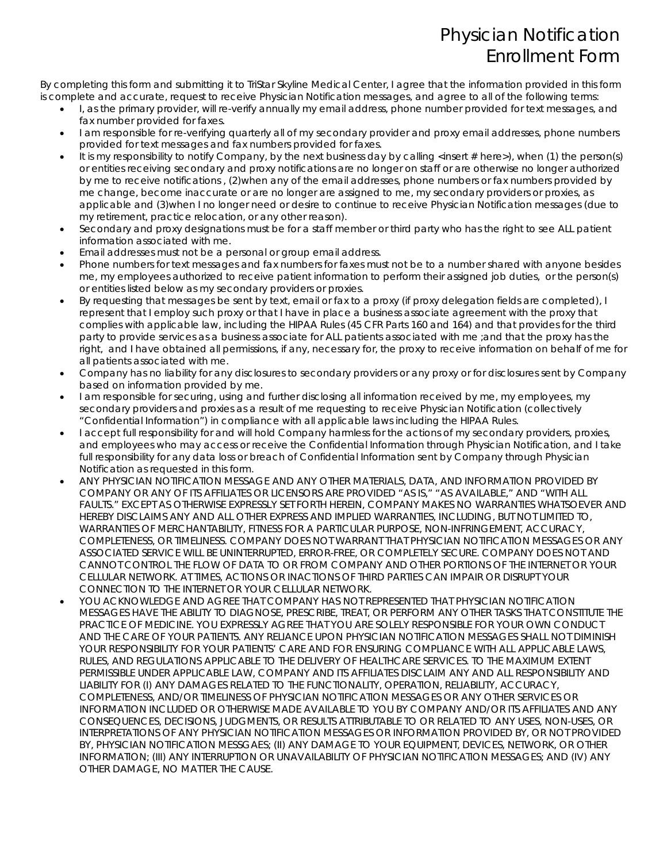By completing this form and submitting it to TriStar Skyline Medical Center, I agree that the information provided in this form is complete and accurate, request to receive Physician Notification messages, and agree to all of the following terms:

- I, as the primary provider, will re-verify annually my email address, phone number provided for text messages, and fax number provided for faxes.
- I am responsible for re-verifying quarterly all of my secondary provider and proxy email addresses, phone numbers provided for text messages and fax numbers provided for faxes.
- It is my responsibility to notify Company, by the next business day by calling <insert # here>), when (1) the person(s) or entities receiving secondary and proxy notifications are no longer on staff or are otherwise no longer authorized by me to receive notifications , (2)when any of the email addresses, phone numbers or fax numbers provided by me change, become inaccurate or are no longer are assigned to me, my secondary providers or proxies, as applicable and (3)when I no longer need or desire to continue to receive Physician Notification messages (due to my retirement, practice relocation, or any other reason).
- Secondary and proxy designations must be for a staff member or third party who has the right to see ALL patient information associated with me.
- Email addresses must not be a personal or group email address.
- Phone numbers for text messages and fax numbers for faxes must not be to a number shared with anyone besides me, my employees authorized to receive patient information to perform their assigned job duties, or the person(s) or entities listed below as my secondary providers or proxies.
- By requesting that messages be sent by text, email or fax to a proxy (if proxy delegation fields are completed), I represent that I employ such proxy or that I have in place a business associate agreement with the proxy that complies with applicable law, including the HIPAA Rules (45 CFR Parts 160 and 164) and that provides for the third party to provide services as a business associate for ALL patients associated with me ;and that the proxy has the right, and I have obtained all permissions, if any, necessary for, the proxy to receive information on behalf of me for all patients associated with me.
- Company has no liability for any disclosures to secondary providers or any proxy or for disclosures sent by Company based on information provided by me.
- I am responsible for securing, using and further disclosing all information received by me, my employees, my secondary providers and proxies as a result of me requesting to receive Physician Notification (collectively "Confidential Information") in compliance with all applicable laws including the HIPAA Rules.
- I accept full responsibility for and will hold Company harmless for the actions of my secondary providers, proxies, and employees who may access or receive the Confidential Information through Physician Notification, and I take full responsibility for any data loss or breach of Confidential Information sent by Company through Physician Notification as requested in this form.
- ANY PHYSICIAN NOTIFICATION MESSAGE AND ANY OTHER MATERIALS, DATA, AND INFORMATION PROVIDED BY COMPANY OR ANY OF ITS AFFILIATES OR LICENSORS ARE PROVIDED "AS IS," "AS AVAILABLE," AND "WITH ALL FAULTS." EXCEPT AS OTHERWISE EXPRESSLY SET FORTH HEREIN, COMPANY MAKES NO WARRANTIES WHATSOEVER AND HEREBY DISCLAIMS ANY AND ALL OTHER EXPRESS AND IMPLIED WARRANTIES, INCLUDING, BUT NOT LIMITED TO, WARRANTIES OF MERCHANTABILITY, FITNESS FOR A PARTICULAR PURPOSE, NON-INFRINGEMENT, ACCURACY, COMPLETENESS, OR TIMELINESS. COMPANY DOES NOT WARRANT THAT PHYSICIAN NOTIFICATION MESSAGES OR ANY ASSOCIATED SERVICE WILL BE UNINTERRUPTED, ERROR-FREE, OR COMPLETELY SECURE. COMPANY DOES NOT AND CANNOT CONTROL THE FLOW OF DATA TO OR FROM COMPANY AND OTHER PORTIONS OF THE INTERNET OR YOUR CELLULAR NETWORK. AT TIMES, ACTIONS OR INACTIONS OF THIRD PARTIES CAN IMPAIR OR DISRUPT YOUR CONNECTION TO THE INTERNET OR YOUR CELLULAR NETWORK.
- YOU ACKNOWLEDGE AND AGREE THAT COMPANY HAS NOT REPRESENTED THAT PHYSICIAN NOTIFICATION MESSAGES HAVE THE ABILITY TO DIAGNOSE, PRESCRIBE, TREAT, OR PERFORM ANY OTHER TASKS THAT CONSTITUTE THE PRACTICE OF MEDICINE. YOU EXPRESSLY AGREE THAT YOU ARE SOLELY RESPONSIBLE FOR YOUR OWN CONDUCT AND THE CARE OF YOUR PATIENTS. ANY RELIANCE UPON PHYSICIAN NOTIFICATION MESSAGES SHALL NOT DIMINISH YOUR RESPONSIBILITY FOR YOUR PATIENTS' CARE AND FOR ENSURING COMPLIANCE WITH ALL APPLICABLE LAWS, RULES, AND REGULATIONS APPLICABLE TO THE DELIVERY OF HEALTHCARE SERVICES. TO THE MAXIMUM EXTENT PERMISSIBLE UNDER APPLICABLE LAW, COMPANY AND ITS AFFILIATES DISCLAIM ANY AND ALL RESPONSIBILITY AND LIABILITY FOR (I) ANY DAMAGES RELATED TO THE FUNCTIONALITY, OPERATION, RELIABILITY, ACCURACY, COMPLETENESS, AND/OR TIMELINESS OF PHYSICIAN NOTIFICATION MESSAGES OR ANY OTHER SERVICES OR INFORMATION INCLUDED OR OTHERWISE MADE AVAILABLE TO YOU BY COMPANY AND/OR ITS AFFILIATES AND ANY CONSEQUENCES, DECISIONS, JUDGMENTS, OR RESULTS ATTRIBUTABLE TO OR RELATED TO ANY USES, NON-USES, OR INTERPRETATIONS OF ANY PHYSICIAN NOTIFICATION MESSAGES OR INFORMATION PROVIDED BY, OR NOT PROVIDED BY, PHYSICIAN NOTIFICATION MESSGAES; (II) ANY DAMAGE TO YOUR EQUIPMENT, DEVICES, NETWORK, OR OTHER INFORMATION; (III) ANY INTERRUPTION OR UNAVAILABILITY OF PHYSICIAN NOTIFICATION MESSAGES; AND (IV) ANY OTHER DAMAGE, NO MATTER THE CAUSE.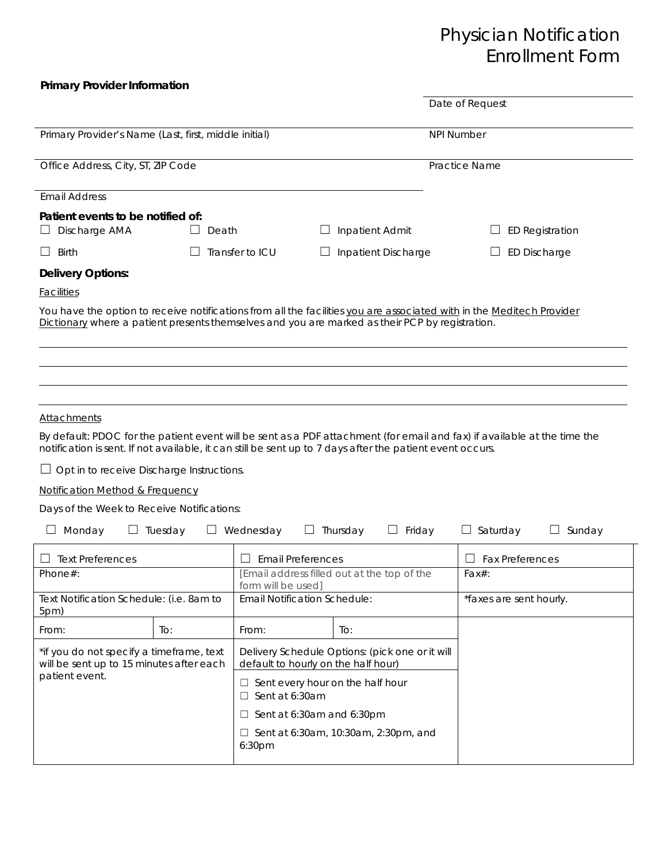### **Primary Provider Information**

|                                                                                                                                                                                                                                       | Date of Request                                                   |                                  |                         |  |  |  |
|---------------------------------------------------------------------------------------------------------------------------------------------------------------------------------------------------------------------------------------|-------------------------------------------------------------------|----------------------------------|-------------------------|--|--|--|
|                                                                                                                                                                                                                                       |                                                                   |                                  |                         |  |  |  |
| Primary Provider's Name (Last, first, middle initial)                                                                                                                                                                                 | <b>NPI Number</b>                                                 |                                  |                         |  |  |  |
|                                                                                                                                                                                                                                       | $\overline{\mathbf{v}}$                                           |                                  |                         |  |  |  |
| Office Address, City, ST, ZIP Code                                                                                                                                                                                                    | Practice Name                                                     |                                  |                         |  |  |  |
| <b>Email Address</b>                                                                                                                                                                                                                  |                                                                   |                                  |                         |  |  |  |
| Patient events to be notified of:                                                                                                                                                                                                     |                                                                   |                                  |                         |  |  |  |
| Discharge AMA<br>Death                                                                                                                                                                                                                | $\Box$ Inpatient Admit                                            |                                  | <b>ED Registration</b>  |  |  |  |
| $\Box$<br>Birth                                                                                                                                                                                                                       | Transfer to ICU<br>$\Box$ Inpatient Discharge                     |                                  | <b>ED Discharge</b>     |  |  |  |
| <b>Delivery Options:</b>                                                                                                                                                                                                              |                                                                   |                                  |                         |  |  |  |
| <b>Facilities</b>                                                                                                                                                                                                                     |                                                                   |                                  |                         |  |  |  |
| You have the option to receive notifications from all the facilities you are associated with in the Meditech Provider                                                                                                                 |                                                                   |                                  |                         |  |  |  |
| Dictionary where a patient presents themselves and you are marked as their PCP by registration.                                                                                                                                       |                                                                   |                                  |                         |  |  |  |
|                                                                                                                                                                                                                                       |                                                                   |                                  |                         |  |  |  |
|                                                                                                                                                                                                                                       |                                                                   |                                  |                         |  |  |  |
|                                                                                                                                                                                                                                       |                                                                   |                                  |                         |  |  |  |
|                                                                                                                                                                                                                                       |                                                                   |                                  |                         |  |  |  |
| <b>Attachments</b>                                                                                                                                                                                                                    |                                                                   |                                  |                         |  |  |  |
| By default: PDOC for the patient event will be sent as a PDF attachment (for email and fax) if available at the time the<br>notification is sent. If not available, it can still be sent up to 7 days after the patient event occurs. |                                                                   |                                  |                         |  |  |  |
| Opt in to receive Discharge Instructions.                                                                                                                                                                                             |                                                                   |                                  |                         |  |  |  |
| Notification Method & Frequency                                                                                                                                                                                                       |                                                                   |                                  |                         |  |  |  |
| Days of the Week to Receive Notifications:                                                                                                                                                                                            |                                                                   |                                  |                         |  |  |  |
| Monday<br>$\Box$ Tuesday                                                                                                                                                                                                              | $\Box$ Wednesday<br>$\Box$ Thursday                               | $\Box$ Friday<br>$\Box$ Saturday | $\Box$ Sunday           |  |  |  |
| $\Box$ Text Preferences                                                                                                                                                                                                               | Ш<br><b>Email Preferences</b>                                     | $\Box$                           | <b>Fax Preferences</b>  |  |  |  |
| Phone $#$ :                                                                                                                                                                                                                           | [Email address filled out at the top of the<br>form will be used] | $Fax#$ :                         |                         |  |  |  |
| Text Notification Schedule: (i.e. 8am to<br>5pm)                                                                                                                                                                                      | <b>Email Notification Schedule:</b>                               |                                  | *faxes are sent hourly. |  |  |  |

| ווועט                                                                                |     |                                                                                        |     |  |
|--------------------------------------------------------------------------------------|-----|----------------------------------------------------------------------------------------|-----|--|
| From:                                                                                | To: | From:                                                                                  | To: |  |
| *if you do not specify a timeframe, text<br>will be sent up to 15 minutes after each |     | Delivery Schedule Options: (pick one or it will<br>default to hourly on the half hour) |     |  |
| patient event.                                                                       |     | $\Box$ Sent every hour on the half hour<br>$\Box$ Sent at 6:30am                       |     |  |
|                                                                                      |     | $\Box$ Sent at 6:30am and 6:30pm                                                       |     |  |
|                                                                                      |     | $\Box$ Sent at 6:30am, 10:30am, 2:30pm, and<br>6:30pm                                  |     |  |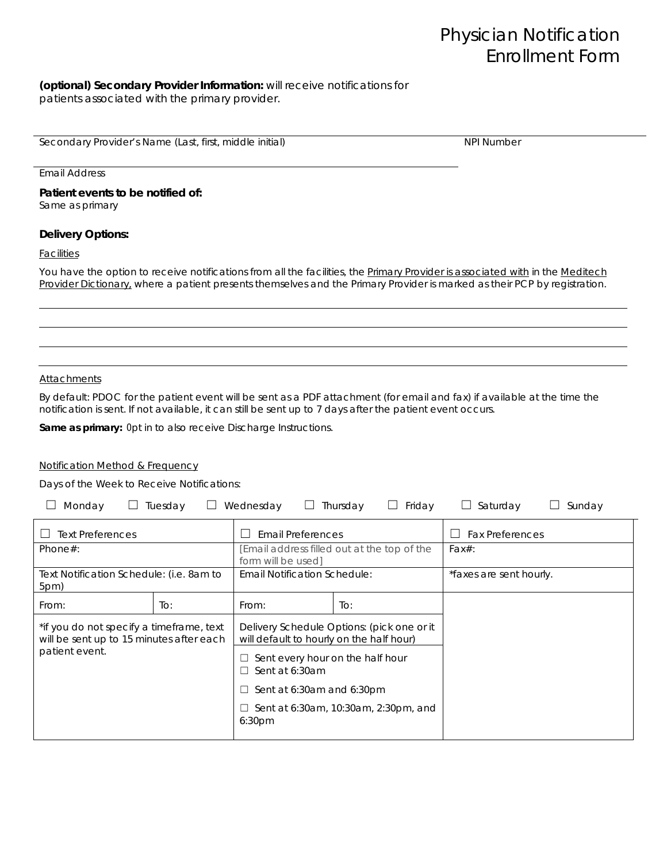#### **(optional) Secondary Provider Information:** will receive notifications for patients associated with the primary provider.

Secondary Provider's Name (Last, first, middle initial) New York New York New York New York Number

Email Address

**Patient events to be notified of:**  Same as primary

### **Delivery Options:**

**Facilities** 

You have the option to receive notifications from all the facilities, the Primary Provider is associated with in the Meditech *Provider Dictionary, where a patient presents themselves and the Primary Provider is marked as their PCP by registration.* 

#### Attachments

By default: PDOC for the patient event will be sent as a PDF attachment (for email and fax) if available at the time the notification is sent. If not available, it can still be sent up to 7 days after the patient event occurs.

**Same as primary:** Opt in to also receive Discharge Instructions.

#### Notification Method & Frequency

Days of the Week to Receive Notifications:

| Monday                                                                                                 | Tuesday | Wednesday                                                                              | Thursday<br>Friday                          | Saturday<br>$\Box$                | Sunday |
|--------------------------------------------------------------------------------------------------------|---------|----------------------------------------------------------------------------------------|---------------------------------------------|-----------------------------------|--------|
| <b>Text Preferences</b>                                                                                |         | <b>Email Preferences</b>                                                               |                                             | <b>Fax Preferences</b><br>$\perp$ |        |
| Phone $#$ :                                                                                            |         | [Email address filled out at the top of the<br>form will be used]                      |                                             | $Fax#$ :                          |        |
| Text Notification Schedule: (i.e. 8am to<br>5pm)                                                       |         | <b>Email Notification Schedule:</b>                                                    |                                             | *faxes are sent hourly.           |        |
| From:                                                                                                  | To:     | From:                                                                                  | $\overline{1}$ O:                           |                                   |        |
| *if you do not specify a timeframe, text<br>will be sent up to 15 minutes after each<br>patient event. |         | Delivery Schedule Options: (pick one or it<br>will default to hourly on the half hour) |                                             |                                   |        |
|                                                                                                        |         | Sent every hour on the half hour<br>⊔<br>Sent at 6:30am<br>$\perp$                     |                                             |                                   |        |
|                                                                                                        |         | Sent at 6:30am and 6:30pm<br>$\Box$                                                    |                                             |                                   |        |
|                                                                                                        |         | 6:30 <sub>pm</sub>                                                                     | $\Box$ Sent at 6:30am, 10:30am, 2:30pm, and |                                   |        |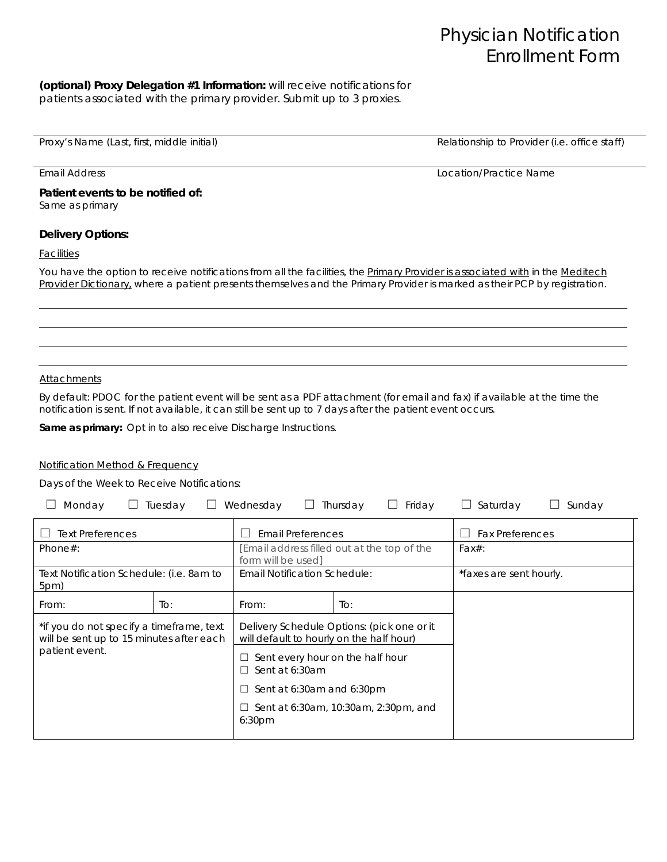#### **(optional) Proxy Delegation #1 Information:** will receive notifications for patients associated with the primary provider. Submit up to 3 proxies.

Proxy's Name (Last, first, middle initial) and the state of the Relationship to Provider (i.e. office staff)

**Patient events to be notified of:**  Same as primary

### **Delivery Options:**

**Facilities** 

You have the option to receive notifications from all the facilities, the Primary Provider is associated with in the Meditech *Provider Dictionary, where a patient presents themselves and the Primary Provider is marked as their PCP by registration.* 

#### Attachments

By default: PDOC for the patient event will be sent as a PDF attachment (for email and fax) if available at the time the notification is sent. If not available, it can still be sent up to 7 days after the patient event occurs.

**Same as primary:** Opt in to also receive Discharge Instructions.

#### Notification Method & Frequency

Days of the Week to Receive Notifications:

| Monday                                                                                                 | Tuesday | Wednesday                                                        | Friday<br>Thursday                          | $\Box$ Saturday         | Sunday |
|--------------------------------------------------------------------------------------------------------|---------|------------------------------------------------------------------|---------------------------------------------|-------------------------|--------|
| <b>Text Preferences</b>                                                                                |         | <b>Email Preferences</b>                                         |                                             | <b>Fax Preferences</b>  |        |
| Phone $#$ :                                                                                            |         | Email address filled out at the top of the<br>form will be used] |                                             | $Fax#$ :                |        |
| Text Notification Schedule: (i.e. 8am to<br>5pm)                                                       |         | Email Notification Schedule:                                     |                                             | *faxes are sent hourly. |        |
| From:                                                                                                  | To:     | From:                                                            | $\overline{1}$ O:                           |                         |        |
| *if you do not specify a timeframe, text<br>will be sent up to 15 minutes after each<br>patient event. |         | will default to hourly on the half hour)                         | Delivery Schedule Options: (pick one or it  |                         |        |
|                                                                                                        |         | Sent every hour on the half hour<br>⊔<br>Sent at 6:30am<br>□     |                                             |                         |        |
|                                                                                                        |         | Sent at 6:30am and 6:30pm<br>$\Box$                              |                                             |                         |        |
|                                                                                                        |         | 6:30 <sub>pm</sub>                                               | $\Box$ Sent at 6:30am, 10:30am, 2:30pm, and |                         |        |

Email Address Location/Practice Name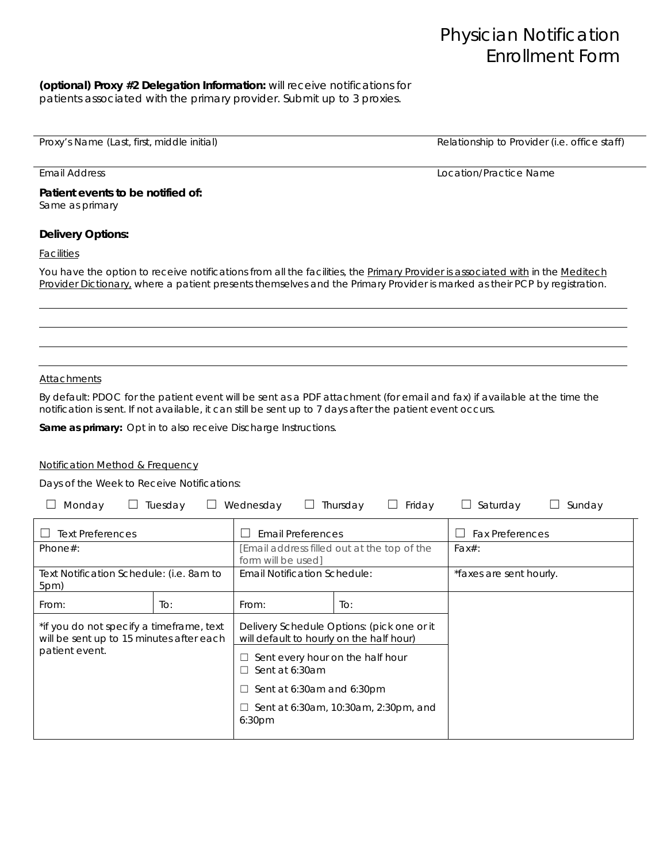#### **(optional) Proxy #2 Delegation Information:** will receive notifications for patients associated with the primary provider. Submit up to 3 proxies.

Proxy's Name (Last, first, middle initial) and the state of the Relationship to Provider (i.e. office staff)

Email Address Location/Practice Name

**Patient events to be notified of:**  Same as primary

### **Delivery Options:**

**Facilities** 

You have the option to receive notifications from all the facilities, the Primary Provider is associated with in the Meditech *Provider Dictionary, where a patient presents themselves and the Primary Provider is marked as their PCP by registration.* 

#### Attachments

By default: PDOC for the patient event will be sent as a PDF attachment (for email and fax) if available at the time the notification is sent. If not available, it can still be sent up to 7 days after the patient event occurs.

**Same as primary:** Opt in to also receive Discharge Instructions.

#### Notification Method & Frequency

Days of the Week to Receive Notifications:

| Monday                                                                                                 | Tuesday | Wednesday                                                         | Thursday<br>Friday                          | $\Box$ Saturday         | Sunday |
|--------------------------------------------------------------------------------------------------------|---------|-------------------------------------------------------------------|---------------------------------------------|-------------------------|--------|
| <b>Text Preferences</b>                                                                                |         | <b>Email Preferences</b>                                          |                                             | <b>Fax Preferences</b>  |        |
| Phone $#$ :                                                                                            |         | [Email address filled out at the top of the<br>form will be used] |                                             | $Fax#$ :                |        |
| Text Notification Schedule: (i.e. 8am to<br>5pm)                                                       |         | <b>Email Notification Schedule:</b>                               |                                             | *faxes are sent hourly. |        |
| From:                                                                                                  | To:     | From:                                                             | To:                                         |                         |        |
| *if you do not specify a timeframe, text<br>will be sent up to 15 minutes after each<br>patient event. |         | will default to hourly on the half hour)                          | Delivery Schedule Options: (pick one or it  |                         |        |
|                                                                                                        |         | Sent every hour on the half hour<br>⊔<br>Sent at 6:30am<br>П      |                                             |                         |        |
|                                                                                                        |         | Sent at 6:30am and 6:30pm<br>⊔                                    |                                             |                         |        |
|                                                                                                        |         | 6:30pm                                                            | $\Box$ Sent at 6:30am, 10:30am, 2:30pm, and |                         |        |